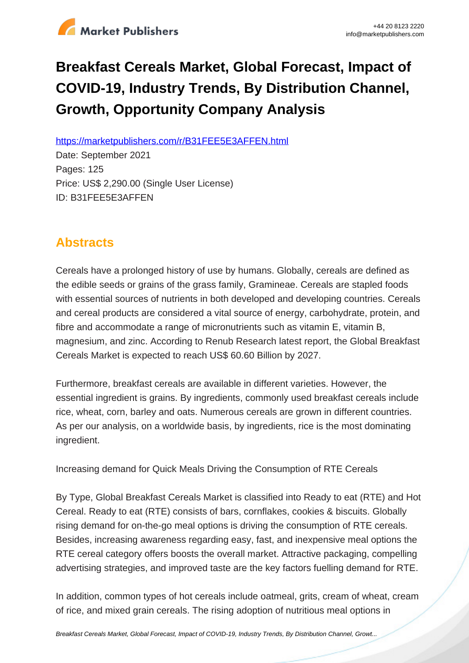

# **Breakfast Cereals Market, Global Forecast, Impact of COVID-19, Industry Trends, By Distribution Channel, Growth, Opportunity Company Analysis**

https://marketpublishers.com/r/B31FEE5E3AFFEN.html

Date: September 2021 Pages: 125 Price: US\$ 2,290.00 (Single User License) ID: B31FEE5E3AFFEN

# **Abstracts**

Cereals have a prolonged history of use by humans. Globally, cereals are defined as the edible seeds or grains of the grass family, Gramineae. Cereals are stapled foods with essential sources of nutrients in both developed and developing countries. Cereals and cereal products are considered a vital source of energy, carbohydrate, protein, and fibre and accommodate a range of micronutrients such as vitamin E, vitamin B, magnesium, and zinc. According to Renub Research latest report, the Global Breakfast Cereals Market is expected to reach US\$ 60.60 Billion by 2027.

Furthermore, breakfast cereals are available in different varieties. However, the essential ingredient is grains. By ingredients, commonly used breakfast cereals include rice, wheat, corn, barley and oats. Numerous cereals are grown in different countries. As per our analysis, on a worldwide basis, by ingredients, rice is the most dominating ingredient.

Increasing demand for Quick Meals Driving the Consumption of RTE Cereals

By Type, Global Breakfast Cereals Market is classified into Ready to eat (RTE) and Hot Cereal. Ready to eat (RTE) consists of bars, cornflakes, cookies & biscuits. Globally rising demand for on-the-go meal options is driving the consumption of RTE cereals. Besides, increasing awareness regarding easy, fast, and inexpensive meal options the RTE cereal category offers boosts the overall market. Attractive packaging, compelling advertising strategies, and improved taste are the key factors fuelling demand for RTE.

In addition, common types of hot cereals include oatmeal, grits, cream of wheat, cream of rice, and mixed grain cereals. The rising adoption of nutritious meal options in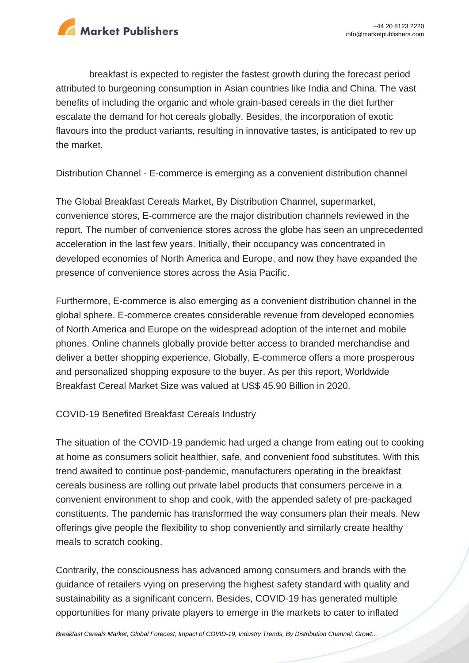

breakfast is expected to register the fastest growth during the forecast period attributed to burgeoning consumption in Asian countries like India and China. The vast benefits of including the organic and whole grain-based cereals in the diet further escalate the demand for hot cereals globally. Besides, the incorporation of exotic flavours into the product variants, resulting in innovative tastes, is anticipated to rev up the market.

Distribution Channel - E-commerce is emerging as a convenient distribution channel

The Global Breakfast Cereals Market, By Distribution Channel, supermarket, convenience stores, E-commerce are the major distribution channels reviewed in the report. The number of convenience stores across the globe has seen an unprecedented acceleration in the last few years. Initially, their occupancy was concentrated in developed economies of North America and Europe, and now they have expanded the presence of convenience stores across the Asia Pacific.

Furthermore, E-commerce is also emerging as a convenient distribution channel in the global sphere. E-commerce creates considerable revenue from developed economies of North America and Europe on the widespread adoption of the internet and mobile phones. Online channels globally provide better access to branded merchandise and deliver a better shopping experience. Globally, E-commerce offers a more prosperous and personalized shopping exposure to the buyer. As per this report, Worldwide Breakfast Cereal Market Size was valued at US\$ 45.90 Billion in 2020.

COVID-19 Benefited Breakfast Cereals Industry

The situation of the COVID-19 pandemic had urged a change from eating out to cooking at home as consumers solicit healthier, safe, and convenient food substitutes. With this trend awaited to continue post-pandemic, manufacturers operating in the breakfast cereals business are rolling out private label products that consumers perceive in a convenient environment to shop and cook, with the appended safety of pre-packaged constituents. The pandemic has transformed the way consumers plan their meals. New offerings give people the flexibility to shop conveniently and similarly create healthy meals to scratch cooking.

Contrarily, the consciousness has advanced among consumers and brands with the guidance of retailers vying on preserving the highest safety standard with quality and sustainability as a significant concern. Besides, COVID-19 has generated multiple opportunities for many private players to emerge in the markets to cater to inflated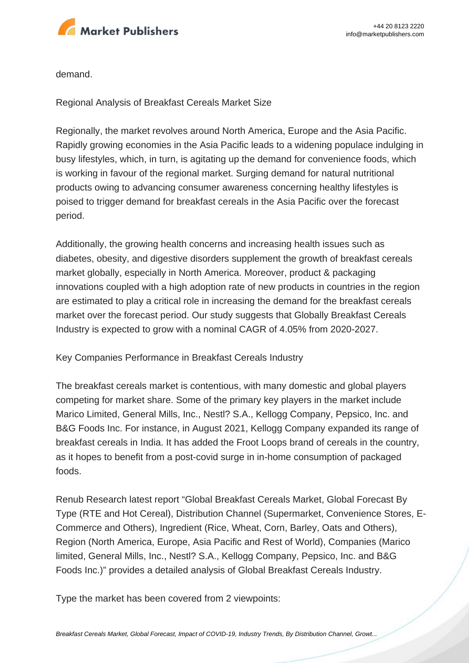

demand.

Regional Analysis of Breakfast Cereals Market Size

Regionally, the market revolves around North America, Europe and the Asia Pacific. Rapidly growing economies in the Asia Pacific leads to a widening populace indulging in busy lifestyles, which, in turn, is agitating up the demand for convenience foods, which is working in favour of the regional market. Surging demand for natural nutritional products owing to advancing consumer awareness concerning healthy lifestyles is poised to trigger demand for breakfast cereals in the Asia Pacific over the forecast period.

Additionally, the growing health concerns and increasing health issues such as diabetes, obesity, and digestive disorders supplement the growth of breakfast cereals market globally, especially in North America. Moreover, product & packaging innovations coupled with a high adoption rate of new products in countries in the region are estimated to play a critical role in increasing the demand for the breakfast cereals market over the forecast period. Our study suggests that Globally Breakfast Cereals Industry is expected to grow with a nominal CAGR of 4.05% from 2020-2027.

Key Companies Performance in Breakfast Cereals Industry

The breakfast cereals market is contentious, with many domestic and global players competing for market share. Some of the primary key players in the market include Marico Limited, General Mills, Inc., Nestl? S.A., Kellogg Company, Pepsico, Inc. and B&G Foods Inc. For instance, in August 2021, Kellogg Company expanded its range of breakfast cereals in India. It has added the Froot Loops brand of cereals in the country, as it hopes to benefit from a post-covid surge in in-home consumption of packaged foods.

Renub Research latest report "Global Breakfast Cereals Market, Global Forecast By Type (RTE and Hot Cereal), Distribution Channel (Supermarket, Convenience Stores, E-Commerce and Others), Ingredient (Rice, Wheat, Corn, Barley, Oats and Others), Region (North America, Europe, Asia Pacific and Rest of World), Companies (Marico limited, General Mills, Inc., Nestl? S.A., Kellogg Company, Pepsico, Inc. and B&G Foods Inc.)" provides a detailed analysis of Global Breakfast Cereals Industry.

Type the market has been covered from 2 viewpoints: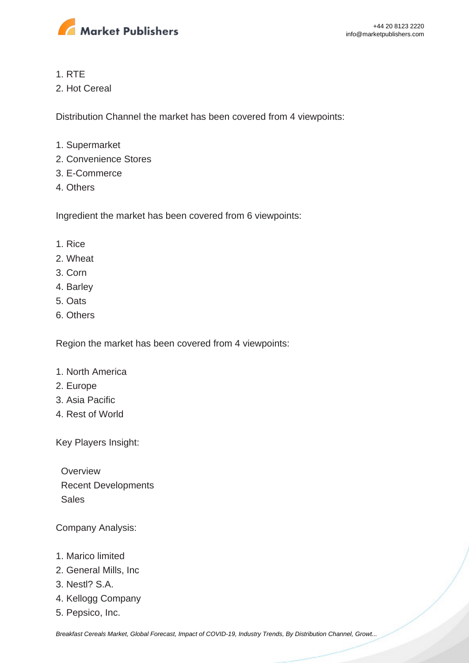

#### 1. RTE

2. Hot Cereal

Distribution Channel the market has been covered from 4 viewpoints:

- 1. Supermarket
- 2. Convenience Stores
- 3. E-Commerce
- 4. Others

Ingredient the market has been covered from 6 viewpoints:

- 1. Rice
- 2. Wheat
- 3. Corn
- 4. Barley
- 5. Oats
- 6. Others

Region the market has been covered from 4 viewpoints:

- 1. North America
- 2. Europe
- 3. Asia Pacific
- 4. Rest of World

Key Players Insight:

**Overview**  Recent Developments Sales

Company Analysis:

- 1. Marico limited
- 2. General Mills, Inc
- 3. Nestl? S.A.
- 4. Kellogg Company
- 5. Pepsico, Inc.

[Breakfast Cereals Market, Global Forecast, Impact of COVID-19, Industry Trends, By Distribution Channel, Growt...](https://marketpublishers.com/report/food/bakery-cereals/breakfast-cereals-market-global-forecast-impact-of-covid-19-industry-trends-by-distribution-channel-growth-opportunity-company-analysis.html)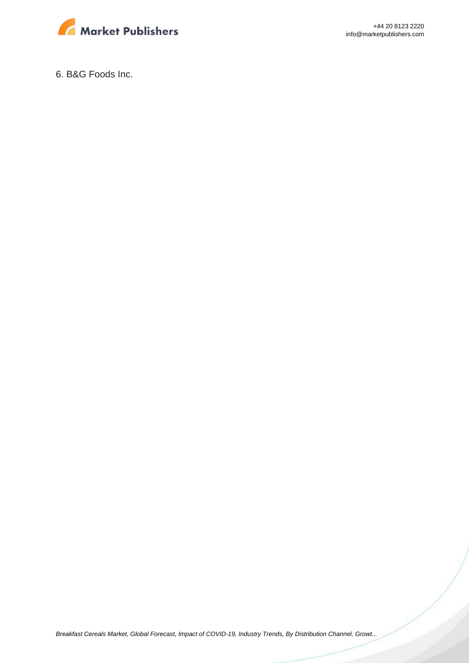

+44 20 8123 2220 info@marketpublishers.com

6. B&G Foods Inc.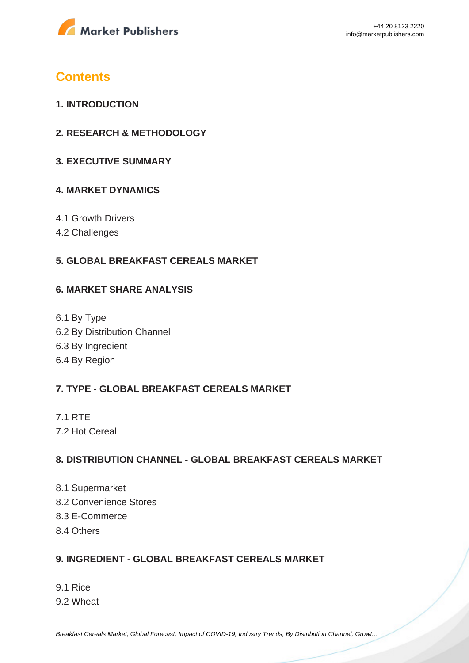

## **Contents**

- **1. INTRODUCTION**
- **2. RESEARCH & METHODOLOGY**
- **3. EXECUTIVE SUMMARY**

#### **4. MARKET DYNAMICS**

- 4.1 Growth Drivers
- 4.2 Challenges

#### **5. GLOBAL BREAKFAST CEREALS MARKET**

#### **6. MARKET SHARE ANALYSIS**

6.1 By Type 6.2 By Distribution Channel 6.3 By Ingredient 6.4 By Region

### **7. TYPE - GLOBAL BREAKFAST CEREALS MARKET**

7.1 RTE 7.2 Hot Cereal

#### **8. DISTRIBUTION CHANNEL - GLOBAL BREAKFAST CEREALS MARKET**

- 8.1 Supermarket 8.2 Convenience Stores 8.3 E-Commerce
- 8.4 Others

#### **9. INGREDIENT - GLOBAL BREAKFAST CEREALS MARKET**

9.1 Rice 9.2 Wheat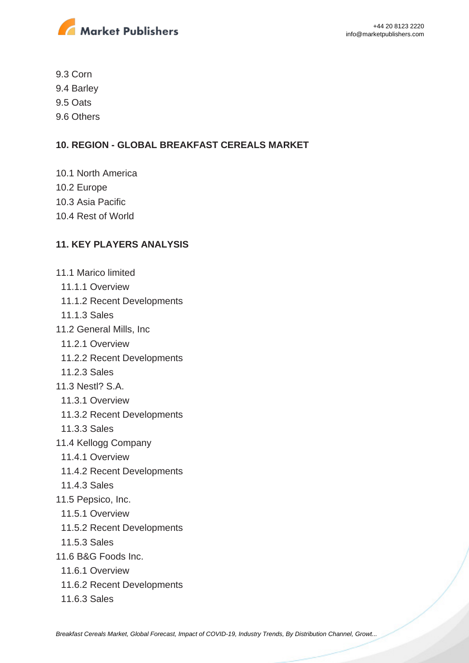

9.3 Corn

9.4 Barley

- 9.5 Oats
- 9.6 Others

### **10. REGION - GLOBAL BREAKFAST CEREALS MARKET**

- 10.1 North America
- 10.2 Europe
- 10.3 Asia Pacific
- 10.4 Rest of World

### **11. KEY PLAYERS ANALYSIS**

- 11.1 Marico limited
- 11.1.1 Overview
- 11.1.2 Recent Developments
- 11.1.3 Sales
- 11.2 General Mills, Inc
	- 11.2.1 Overview
	- 11.2.2 Recent Developments
- 11.2.3 Sales
- 11.3 Nestl? S.A.
	- 11.3.1 Overview
	- 11.3.2 Recent Developments
	- 11.3.3 Sales
- 11.4 Kellogg Company
	- 11.4.1 Overview
	- 11.4.2 Recent Developments
- 11.4.3 Sales
- 11.5 Pepsico, Inc.
- 11.5.1 Overview
- 11.5.2 Recent Developments
- 11.5.3 Sales
- 11.6 B&G Foods Inc.
	- 11.6.1 Overview
	- 11.6.2 Recent Developments
	- 11.6.3 Sales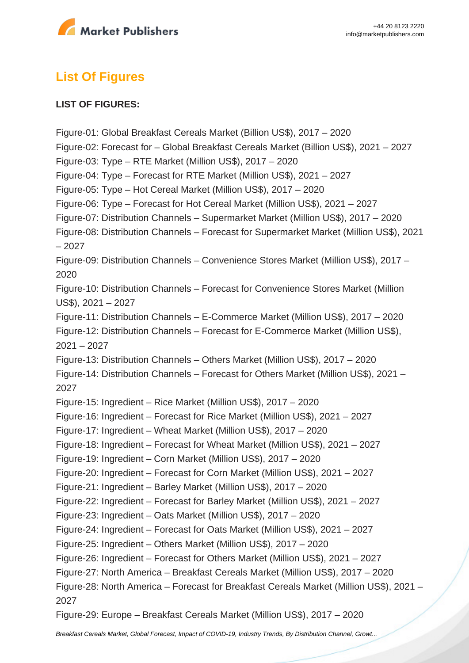

# **List Of Figures**

#### **LIST OF FIGURES:**

Figure-01: Global Breakfast Cereals Market (Billion US\$), 2017 – 2020 Figure-02: Forecast for – Global Breakfast Cereals Market (Billion US\$), 2021 – 2027 Figure-03: Type – RTE Market (Million US\$), 2017 – 2020 Figure-04: Type – Forecast for RTE Market (Million US\$), 2021 – 2027 Figure-05: Type – Hot Cereal Market (Million US\$), 2017 – 2020 Figure-06: Type – Forecast for Hot Cereal Market (Million US\$), 2021 – 2027 Figure-07: Distribution Channels – Supermarket Market (Million US\$), 2017 – 2020 Figure-08: Distribution Channels – Forecast for Supermarket Market (Million US\$), 2021 – 2027 Figure-09: Distribution Channels – Convenience Stores Market (Million US\$), 2017 – 2020 Figure-10: Distribution Channels – Forecast for Convenience Stores Market (Million US\$), 2021 – 2027 Figure-11: Distribution Channels – E-Commerce Market (Million US\$), 2017 – 2020 Figure-12: Distribution Channels – Forecast for E-Commerce Market (Million US\$), 2021 – 2027 Figure-13: Distribution Channels – Others Market (Million US\$), 2017 – 2020 Figure-14: Distribution Channels – Forecast for Others Market (Million US\$), 2021 – 2027 Figure-15: Ingredient – Rice Market (Million US\$), 2017 – 2020 Figure-16: Ingredient – Forecast for Rice Market (Million US\$), 2021 – 2027 Figure-17: Ingredient – Wheat Market (Million US\$), 2017 – 2020 Figure-18: Ingredient – Forecast for Wheat Market (Million US\$), 2021 – 2027 Figure-19: Ingredient – Corn Market (Million US\$), 2017 – 2020 Figure-20: Ingredient – Forecast for Corn Market (Million US\$), 2021 – 2027 Figure-21: Ingredient – Barley Market (Million US\$), 2017 – 2020 Figure-22: Ingredient – Forecast for Barley Market (Million US\$), 2021 – 2027 Figure-23: Ingredient – Oats Market (Million US\$), 2017 – 2020 Figure-24: Ingredient – Forecast for Oats Market (Million US\$), 2021 – 2027 Figure-25: Ingredient – Others Market (Million US\$), 2017 – 2020 Figure-26: Ingredient – Forecast for Others Market (Million US\$), 2021 – 2027 Figure-27: North America – Breakfast Cereals Market (Million US\$), 2017 – 2020 Figure-28: North America – Forecast for Breakfast Cereals Market (Million US\$), 2021 – 2027 Figure-29: Europe – Breakfast Cereals Market (Million US\$), 2017 – 2020

[Breakfast Cereals Market, Global Forecast, Impact of COVID-19, Industry Trends, By Distribution Channel, Growt...](https://marketpublishers.com/report/food/bakery-cereals/breakfast-cereals-market-global-forecast-impact-of-covid-19-industry-trends-by-distribution-channel-growth-opportunity-company-analysis.html)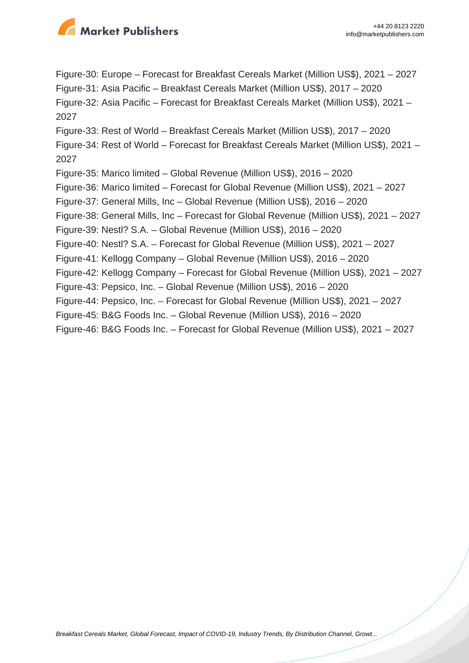

Figure-30: Europe – Forecast for Breakfast Cereals Market (Million US\$), 2021 – 2027 Figure-31: Asia Pacific – Breakfast Cereals Market (Million US\$), 2017 – 2020 Figure-32: Asia Pacific – Forecast for Breakfast Cereals Market (Million US\$), 2021 – 2027 Figure-33: Rest of World – Breakfast Cereals Market (Million US\$), 2017 – 2020 Figure-34: Rest of World – Forecast for Breakfast Cereals Market (Million US\$), 2021 – 2027 Figure-35: Marico limited – Global Revenue (Million US\$), 2016 – 2020 Figure-36: Marico limited – Forecast for Global Revenue (Million US\$), 2021 – 2027 Figure-37: General Mills, Inc – Global Revenue (Million US\$), 2016 – 2020 Figure-38: General Mills, Inc – Forecast for Global Revenue (Million US\$), 2021 – 2027 Figure-39: Nestl? S.A. – Global Revenue (Million US\$), 2016 – 2020 Figure-40: Nestl? S.A. – Forecast for Global Revenue (Million US\$), 2021 – 2027 Figure-41: Kellogg Company – Global Revenue (Million US\$), 2016 – 2020 Figure-42: Kellogg Company – Forecast for Global Revenue (Million US\$), 2021 – 2027 Figure-43: Pepsico, Inc. – Global Revenue (Million US\$), 2016 – 2020 Figure-44: Pepsico, Inc. – Forecast for Global Revenue (Million US\$), 2021 – 2027 Figure-45: B&G Foods Inc. – Global Revenue (Million US\$), 2016 – 2020 Figure-46: B&G Foods Inc. – Forecast for Global Revenue (Million US\$), 2021 – 2027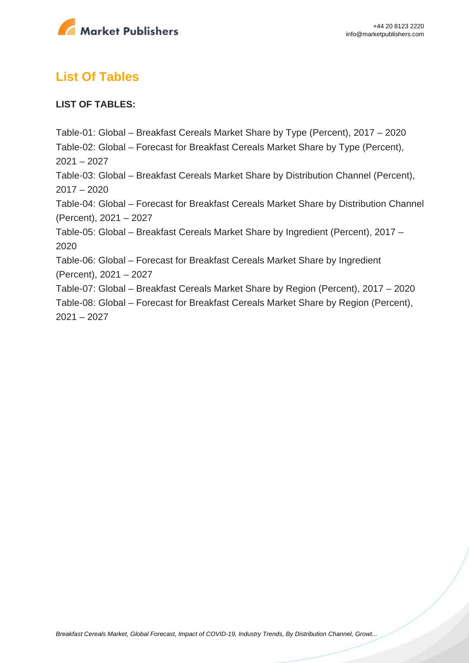

# **List Of Tables**

#### **LIST OF TABLES:**

Table-01: Global – Breakfast Cereals Market Share by Type (Percent), 2017 – 2020 Table-02: Global – Forecast for Breakfast Cereals Market Share by Type (Percent),  $2021 - 2027$ Table-03: Global – Breakfast Cereals Market Share by Distribution Channel (Percent), 2017 – 2020 Table-04: Global – Forecast for Breakfast Cereals Market Share by Distribution Channel (Percent), 2021 – 2027 Table-05: Global – Breakfast Cereals Market Share by Ingredient (Percent), 2017 – 2020 Table-06: Global – Forecast for Breakfast Cereals Market Share by Ingredient (Percent), 2021 – 2027 Table-07: Global – Breakfast Cereals Market Share by Region (Percent), 2017 – 2020 Table-08: Global – Forecast for Breakfast Cereals Market Share by Region (Percent), 2021 – 2027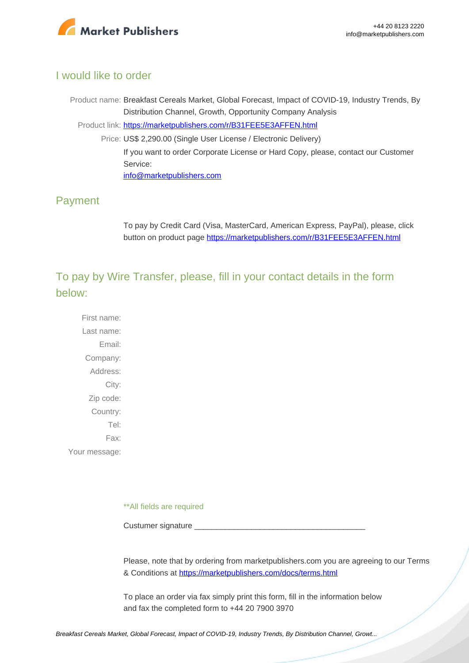

#### I would like to order

Product name: Breakfast Cereals Market, Global Forecast, Impact of COVID-19, Industry Trends, By Distribution Channel, Growth, Opportunity Company Analysis Product link: [https://marketpublishers.com/r/B31FEE5E3AFFEN.html](https://marketpublishers.com/report/food/bakery-cereals/breakfast-cereals-market-global-forecast-impact-of-covid-19-industry-trends-by-distribution-channel-growth-opportunity-company-analysis.html) Price: US\$ 2,290.00 (Single User License / Electronic Delivery) If you want to order Corporate License or Hard Copy, please, contact our Customer Service: [info@marketpublishers.com](mailto:info@marketpublishers.com)

### Payment

To pay by Credit Card (Visa, MasterCard, American Express, PayPal), please, click button on product page [https://marketpublishers.com/r/B31FEE5E3AFFEN.html](https://marketpublishers.com/report/food/bakery-cereals/breakfast-cereals-market-global-forecast-impact-of-covid-19-industry-trends-by-distribution-channel-growth-opportunity-company-analysis.html)

To pay by Wire Transfer, please, fill in your contact details in the form below:

First name: Last name: Email: Company: Address: City: Zip code: Country: Tel: Fax: Your message:

\*\*All fields are required

Custumer signature

Please, note that by ordering from marketpublishers.com you are agreeing to our Terms & Conditions at<https://marketpublishers.com/docs/terms.html>

To place an order via fax simply print this form, fill in the information below and fax the completed form to +44 20 7900 3970